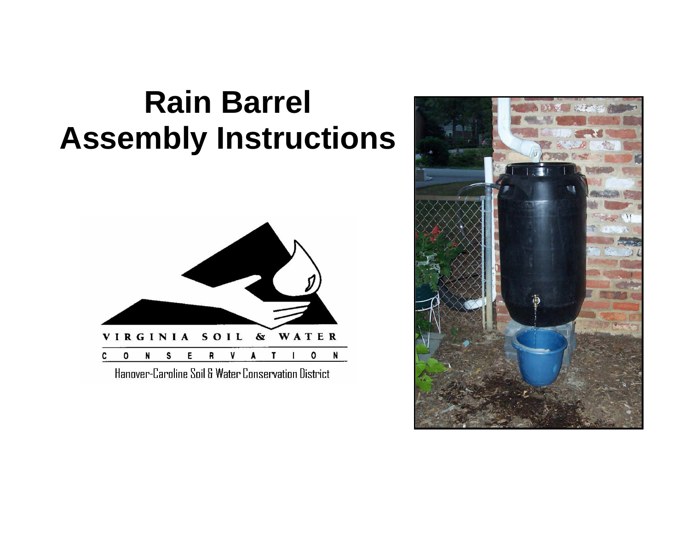## **Rain Barrel Assembly Instructions**



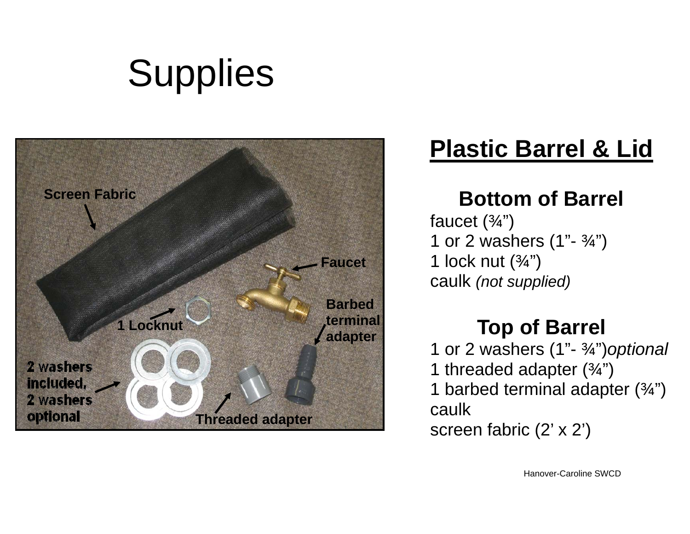# **Supplies**



### **Plastic Barrel & Lid**

#### **Bottom of Barrel**

faucet  $(\frac{3}{4})$ 1 or 2 washers  $(1 - \frac{3}{4})$ 1 lock nut  $(\frac{3}{4})$ caulk *(not supplied)* 

#### **Top of Barrel**

1 or 2 washers (1"- ¾")*optional* 1 threaded adapter  $(3/4")$ 1 barbed terminal adapter  $(3/4)$ caulk screen fabric (2' x 2')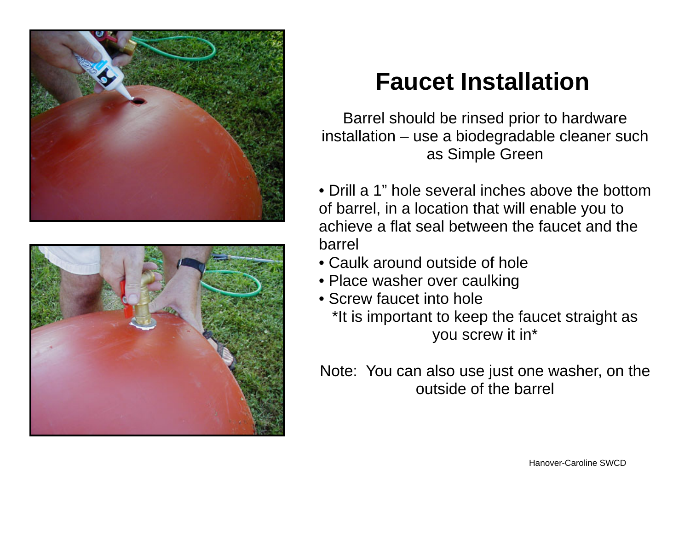



## **Faucet Installation**

Barrel should be rinsed prior to hardware installation – use a biodegradable cleaner such as Simple Green

- Drill a 1" hole several inches above the bottom of barrel, in a location that will enable you to achieve a flat seal between the faucet and the barrel
- Caulk around outside of hole
- Place washer over caulking
- Screw faucet into hole

\*It is important to keep the faucet straight as you screw it in\*

Note: You can also use just one washer, on the outside of the barrel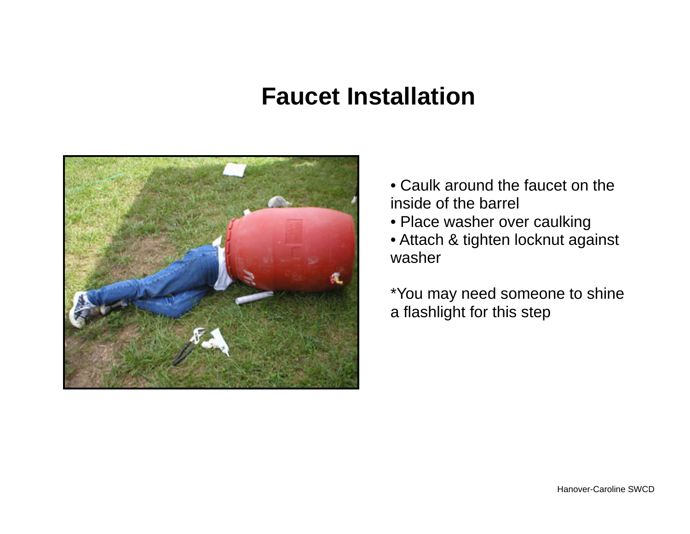#### **Faucet Installation**



- Caulk around the faucet on the inside of the barrel
- Place washer over caulking

• Attach & tighten locknut against washer

\*You may need someone to shine a flashlight for this step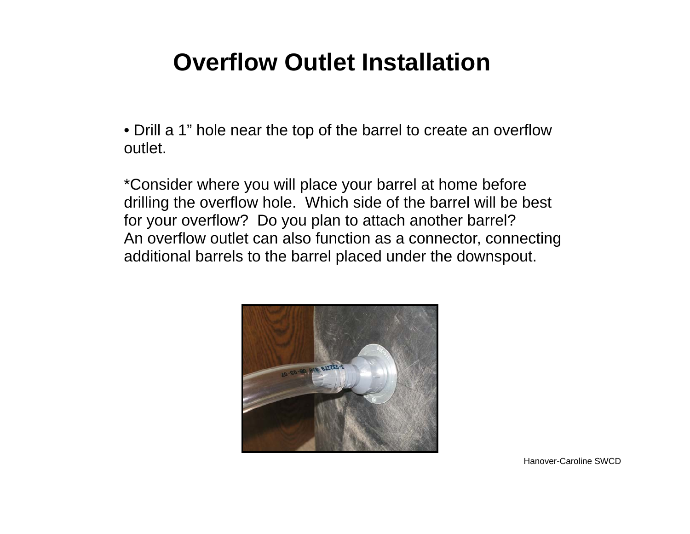### **Overflow Outlet Installation**

• Drill a 1" hole near the top of the barrel to create an overflow outlet.

\*Consider where you will place your barrel at home before drilling the overflow hole. Which side of the barrel will be best for your overflow? Do you plan to attach another barrel? An overflow outlet can also function as a connector, connecting additional barrels to the barrel placed under the downspout.

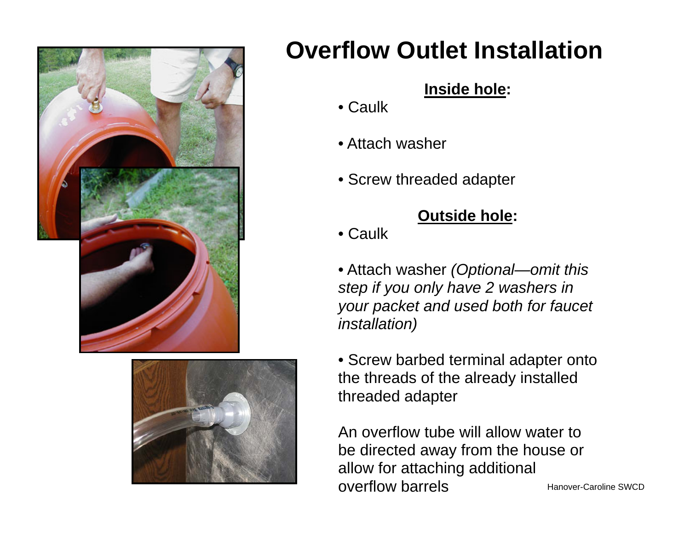



## **Overflow Outlet Installation**

#### **Inside hole:**

- Caulk
- Attach washer
- Screw threaded adapter

#### **Outside hole:**

- Caulk
- Attach washer *(Optional—omit this step if you only have 2 washers in your packet and used both for faucet installation)*
- Screw barbed terminal adapter onto the threads of the already installed threaded adapter

An overflow tube will allow water to be directed away from the house or allow for attaching additional overflow barrels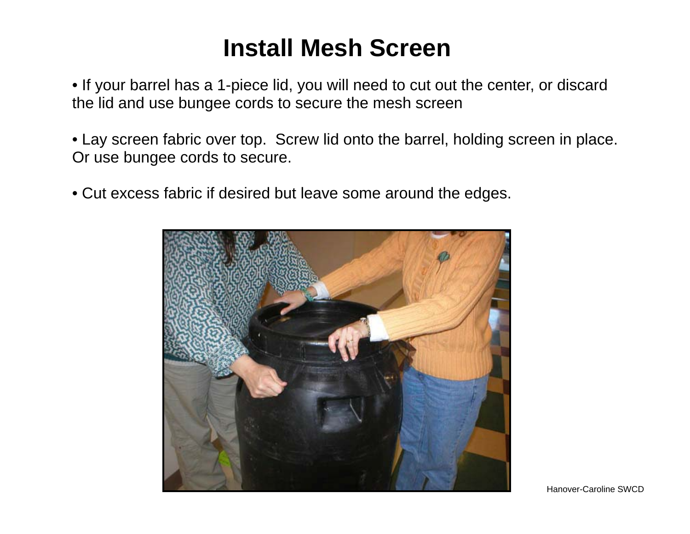### **Install Mesh Screen**

• If your barrel has a 1-piece lid, you will need to cut out the center, or discard the lid and use bungee cords to secure the mesh screen

• Lay screen fabric over top. Screw lid onto the barrel, holding screen in place. Or use bungee cords to secure.

• Cut excess fabric if desired but leave some around the edges.